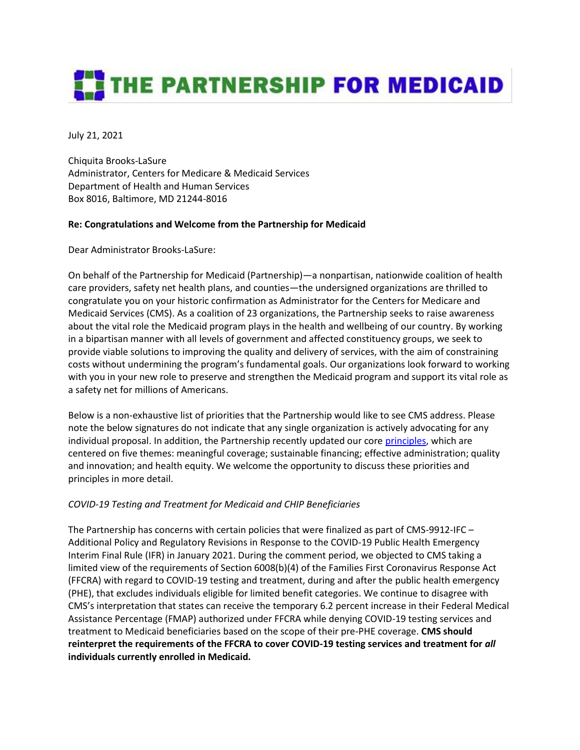# **THE PARTNERSHIP FOR MEDICAID**

July 21, 2021

Chiquita Brooks-LaSure Administrator, Centers for Medicare & Medicaid Services Department of Health and Human Services Box 8016, Baltimore, MD 21244-8016

## **Re: Congratulations and Welcome from the Partnership for Medicaid**

Dear Administrator Brooks-LaSure:

On behalf of the Partnership for Medicaid (Partnership)—a nonpartisan, nationwide coalition of health care providers, safety net health plans, and counties—the undersigned organizations are thrilled to congratulate you on your historic confirmation as Administrator for the Centers for Medicare and Medicaid Services (CMS). As a coalition of 23 organizations, the Partnership seeks to raise awareness about the vital role the Medicaid program plays in the health and wellbeing of our country. By working in a bipartisan manner with all levels of government and affected constituency groups, we seek to provide viable solutions to improving the quality and delivery of services, with the aim of constraining costs without undermining the program's fundamental goals. Our organizations look forward to working with you in your new role to preserve and strengthen the Medicaid program and support its vital role as a safety net for millions of Americans.

Below is a non-exhaustive list of priorities that the Partnership would like to see CMS address. Please note the below signatures do not indicate that any single organization is actively advocating for any individual proposal. In addition, the Partnership recently updated our cor[e principles,](http://www.partnershipformedicaid.org/core-principles/) which are centered on five themes: meaningful coverage; sustainable financing; effective administration; quality and innovation; and health equity. We welcome the opportunity to discuss these priorities and principles in more detail.

## *COVID-19 Testing and Treatment for Medicaid and CHIP Beneficiaries*

The Partnership has concerns with certain policies that were finalized as part of CMS-9912-IFC – Additional Policy and Regulatory Revisions in Response to the COVID-19 Public Health Emergency Interim Final Rule (IFR) in January 2021. During the comment period, we objected to CMS taking a limited view of the requirements of Section 6008(b)(4) of the Families First Coronavirus Response Act (FFCRA) with regard to COVID-19 testing and treatment, during and after the public health emergency (PHE), that excludes individuals eligible for limited benefit categories. We continue to disagree with CMS's interpretation that states can receive the temporary 6.2 percent increase in their Federal Medical Assistance Percentage (FMAP) authorized under FFCRA while denying COVID-19 testing services and treatment to Medicaid beneficiaries based on the scope of their pre-PHE coverage. **CMS should reinterpret the requirements of the FFCRA to cover COVID-19 testing services and treatment for** *all* **individuals currently enrolled in Medicaid.**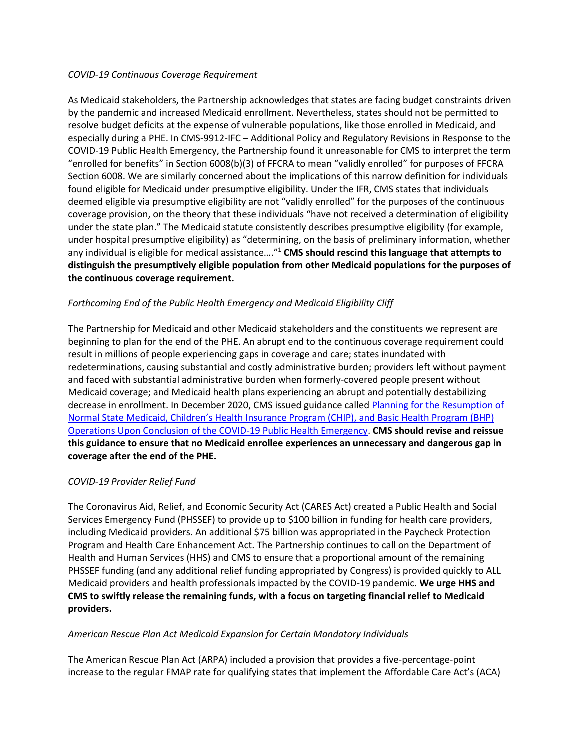#### *COVID-19 Continuous Coverage Requirement*

As Medicaid stakeholders, the Partnership acknowledges that states are facing budget constraints driven by the pandemic and increased Medicaid enrollment. Nevertheless, states should not be permitted to resolve budget deficits at the expense of vulnerable populations, like those enrolled in Medicaid, and especially during a PHE. In CMS-9912-IFC – Additional Policy and Regulatory Revisions in Response to the COVID-19 Public Health Emergency, the Partnership found it unreasonable for CMS to interpret the term "enrolled for benefits" in Section 6008(b)(3) of FFCRA to mean "validly enrolled" for purposes of FFCRA Section 6008. We are similarly concerned about the implications of this narrow definition for individuals found eligible for Medicaid under presumptive eligibility. Under the IFR, CMS states that individuals deemed eligible via presumptive eligibility are not "validly enrolled" for the purposes of the continuous coverage provision, on the theory that these individuals "have not received a determination of eligibility under the state plan." The Medicaid statute consistently describes presumptive eligibility (for example, under hospital presumptive eligibility) as "determining, on the basis of preliminary information, whether any individual is eligible for medical assistance…."<sup>1</sup> **CMS should rescind this language that attempts to distinguish the presumptively eligible population from other Medicaid populations for the purposes of the continuous coverage requirement.** 

## *Forthcoming End of the Public Health Emergency and Medicaid Eligibility Cliff*

The Partnership for Medicaid and other Medicaid stakeholders and the constituents we represent are beginning to plan for the end of the PHE. An abrupt end to the continuous coverage requirement could result in millions of people experiencing gaps in coverage and care; states inundated with redeterminations, causing substantial and costly administrative burden; providers left without payment and faced with substantial administrative burden when formerly-covered people present without Medicaid coverage; and Medicaid health plans experiencing an abrupt and potentially destabilizing decrease in enrollment. In December 2020, CMS issued guidance called [Planning for the Resumption of](https://www.medicaid.gov/federal-policy-guidance/downloads/sho20004.pdf)  [Normal State Medicaid, Children's Health Insurance Program \(CHIP\), and Basic Health Program \(BHP\)](https://www.medicaid.gov/federal-policy-guidance/downloads/sho20004.pdf)  [Operations Upon Conclusion of the COVID-19 Public Health Emergency.](https://www.medicaid.gov/federal-policy-guidance/downloads/sho20004.pdf) **CMS should revise and reissue this guidance to ensure that no Medicaid enrollee experiences an unnecessary and dangerous gap in coverage after the end of the PHE.** 

## *COVID-19 Provider Relief Fund*

The Coronavirus Aid, Relief, and Economic Security Act (CARES Act) created a Public Health and Social Services Emergency Fund (PHSSEF) to provide up to \$100 billion in funding for health care providers, including Medicaid providers. An additional \$75 billion was appropriated in the Paycheck Protection Program and Health Care Enhancement Act. The Partnership continues to call on the Department of Health and Human Services (HHS) and CMS to ensure that a proportional amount of the remaining PHSSEF funding (and any additional relief funding appropriated by Congress) is provided quickly to ALL Medicaid providers and health professionals impacted by the COVID-19 pandemic. **We urge HHS and CMS to swiftly release the remaining funds, with a focus on targeting financial relief to Medicaid providers.** 

## *American Rescue Plan Act Medicaid Expansion for Certain Mandatory Individuals*

The American Rescue Plan Act (ARPA) included a provision that provides a five-percentage-point increase to the regular FMAP rate for qualifying states that implement the Affordable Care Act's (ACA)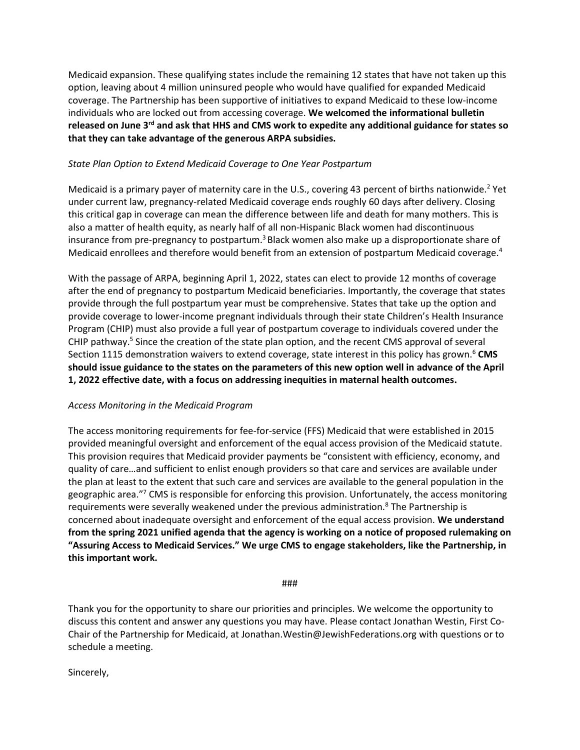Medicaid expansion. These qualifying states include the remaining 12 states that have not taken up this option, leaving about 4 million uninsured people who would have qualified for expanded Medicaid coverage. The Partnership has been supportive of initiatives to expand Medicaid to these low-income individuals who are locked out from accessing coverage. **We welcomed the informational bulletin released on June 3rd and ask that HHS and CMS work to expedite any additional guidance for states so that they can take advantage of the generous ARPA subsidies.** 

## *State Plan Option to Extend Medicaid Coverage to One Year Postpartum*

Medicaid is a primary payer of maternity care in the U.S., covering 43 percent of births nationwide.<sup>2</sup> Yet under current law, pregnancy-related Medicaid coverage ends roughly 60 days after delivery. Closing this critical gap in coverage can mean the difference between life and death for many mothers. This is also a matter of health equity, as nearly half of all non-Hispanic Black women had discontinuous insurance from pre-pregnancy to postpartum.<sup>3</sup> Black women also make up a disproportionate share of Medicaid enrollees and therefore would benefit from an extension of postpartum Medicaid coverage.<sup>4</sup>

With the passage of ARPA, beginning April 1, 2022, states can elect to provide 12 months of coverage after the end of pregnancy to postpartum Medicaid beneficiaries. Importantly, the coverage that states provide through the full postpartum year must be comprehensive. States that take up the option and provide coverage to lower-income pregnant individuals through their state Children's Health Insurance Program (CHIP) must also provide a full year of postpartum coverage to individuals covered under the CHIP pathway.<sup>5</sup> Since the creation of the state plan option, and the recent CMS approval of several Section 1115 demonstration waivers to extend coverage, state interest in this policy has grown.<sup>6</sup> **CMS should issue guidance to the states on the parameters of this new option well in advance of the April 1, 2022 effective date, with a focus on addressing inequities in maternal health outcomes.** 

## *Access Monitoring in the Medicaid Program*

The access monitoring requirements for fee-for-service (FFS) Medicaid that were established in 2015 provided meaningful oversight and enforcement of the equal access provision of the Medicaid statute. This provision requires that Medicaid provider payments be "consistent with efficiency, economy, and quality of care…and sufficient to enlist enough providers so that care and services are available under the plan at least to the extent that such care and services are available to the general population in the geographic area."<sup>7</sup> CMS is responsible for enforcing this provision. Unfortunately, the access monitoring requirements were severally weakened under the previous administration.<sup>8</sup> The Partnership is concerned about inadequate oversight and enforcement of the equal access provision. **We understand from the spring 2021 unified agenda that the agency is working on a notice of proposed rulemaking on "Assuring Access to Medicaid Services." We urge CMS to engage stakeholders, like the Partnership, in this important work.**

###

Thank you for the opportunity to share our priorities and principles. We welcome the opportunity to discuss this content and answer any questions you may have. Please contact Jonathan Westin, First Co-Chair of the Partnership for Medicaid, at [Jonathan.Westin@JewishFederations.org](mailto:Jonathan.Westin@JewishFederations.org) with questions or to schedule a meeting.

Sincerely,